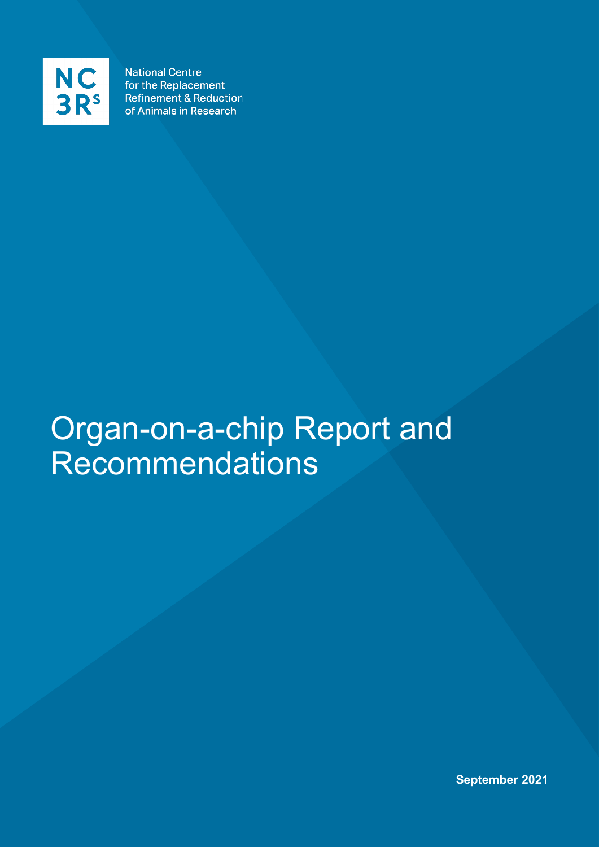

**National Centre** for the Replacement **Refinement & Reduction** of Animals in Research

# Organ-on-a-chip Report and Recommendations

**September 2021**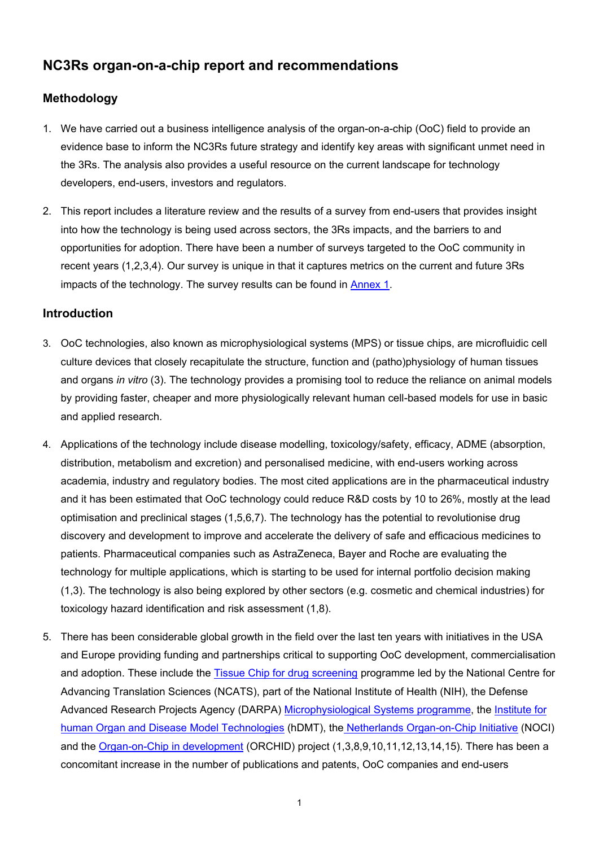# **NC3Rs organ-on-a-chip report and recommendations**

# **Methodology**

- 1. We have carried out a business intelligence analysis of the organ-on-a-chip (OoC) field to provide an evidence base to inform the NC3Rs future strategy and identify key areas with significant unmet need in the 3Rs. The analysis also provides a useful resource on the current landscape for technology developers, end-users, investors and regulators.
- 2. This report includes a literature review and the results of a survey from end-users that provides insight into how the technology is being used across sectors, the 3Rs impacts, and the barriers to and opportunities for adoption. There have been a number of surveys targeted to the OoC community in recent years (1,2,3,4). Our survey is unique in that it captures metrics on the current and future 3Rs impacts of the technology. The survey results can be found in [Annex 1.](#page-12-0)

# **Introduction**

- 3. OoC technologies, also known as microphysiological systems (MPS) or tissue chips, are microfluidic cell culture devices that closely recapitulate the structure, function and (patho)physiology of human tissues and organs *in vitro* (3). The technology provides a promising tool to reduce the reliance on animal models by providing faster, cheaper and more physiologically relevant human cell-based models for use in basic and applied research.
- 4. Applications of the technology include disease modelling, toxicology/safety, efficacy, ADME (absorption, distribution, metabolism and excretion) and personalised medicine, with end-users working across academia, industry and regulatory bodies. The most cited applications are in the pharmaceutical industry and it has been estimated that OoC technology could reduce R&D costs by 10 to 26%, mostly at the lead optimisation and preclinical stages (1,5,6,7). The technology has the potential to revolutionise drug discovery and development to improve and accelerate the delivery of safe and efficacious medicines to patients. Pharmaceutical companies such as AstraZeneca, Bayer and Roche are evaluating the technology for multiple applications, which is starting to be used for internal portfolio decision making (1,3). The technology is also being explored by other sectors (e.g. cosmetic and chemical industries) for toxicology hazard identification and risk assessment (1,8).
- 5. There has been considerable global growth in the field over the last ten years with initiatives in the USA and Europe providing funding and partnerships critical to supporting OoC development, commercialisation and adoption. These include the [Tissue Chip for drug screening](https://ncats.nih.gov/tissuechip) programme led by the National Centre for Advancing Translation Sciences (NCATS), part of the National Institute of Health (NIH), the Defense Advanced Research Projects Agency (DARPA) [Microphysiological Systems programme,](https://www.darpa.mil/attachments/MPS_Layout_Final.pdf) the [Institute for](https://www.hdmt.technology/)  [human Organ and Disease Model Technologies](https://www.hdmt.technology/) (hDMT), the [Netherlands Organ-on-Chip Initiative](https://noci-organ-on-chip.nl/) (NOCI) and the [Organ-on-Chip in developm](https://h2020-orchid.eu/)ent (ORCHID) project (1,3,8,9,10,11,12,13,14,15). There has been a concomitant increase in the number of publications and patents, OoC companies and end-users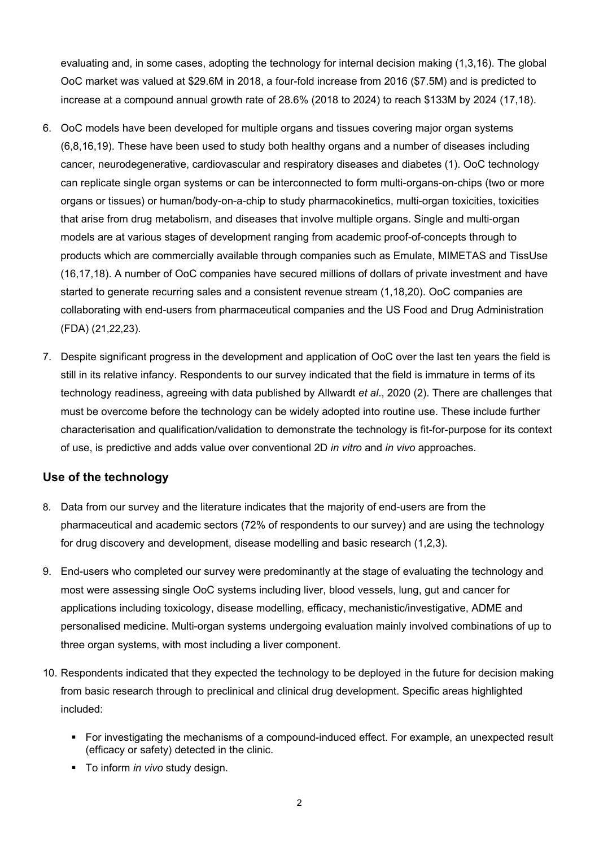evaluating and, in some cases, adopting the technology for internal decision making (1,3,16). The global OoC market was valued at \$29.6M in 2018, a four-fold increase from 2016 (\$7.5M) and is predicted to increase at a compound annual growth rate of 28.6% (2018 to 2024) to reach \$133M by 2024 (17,18).

- 6. OoC models have been developed for multiple organs and tissues covering major organ systems (6,8,16,19). These have been used to study both healthy organs and a number of diseases including cancer, neurodegenerative, cardiovascular and respiratory diseases and diabetes (1). OoC technology can replicate single organ systems or can be interconnected to form multi-organs-on-chips (two or more organs or tissues) or human/body-on-a-chip to study pharmacokinetics, multi-organ toxicities, toxicities that arise from drug metabolism, and diseases that involve multiple organs. Single and multi-organ models are at various stages of development ranging from academic proof-of-concepts through to products which are commercially available through companies such as Emulate, MIMETAS and TissUse (16,17,18). A number of OoC companies have secured millions of dollars of private investment and have started to generate recurring sales and a consistent revenue stream (1,18,20). OoC companies are collaborating with end-users from pharmaceutical companies and the US Food and Drug Administration (FDA) (21,22,23).
- 7. Despite significant progress in the development and application of OoC over the last ten years the field is still in its relative infancy. Respondents to our survey indicated that the field is immature in terms of its technology readiness, agreeing with data published by Allwardt *et al*., 2020 (2). There are challenges that must be overcome before the technology can be widely adopted into routine use. These include further characterisation and qualification/validation to demonstrate the technology is fit-for-purpose for its context of use, is predictive and adds value over conventional 2D *in vitro* and *in vivo* approaches.

# **Use of the technology**

- 8. Data from our survey and the literature indicates that the majority of end-users are from the pharmaceutical and academic sectors (72% of respondents to our survey) and are using the technology for drug discovery and development, disease modelling and basic research (1,2,3).
- 9. End-users who completed our survey were predominantly at the stage of evaluating the technology and most were assessing single OoC systems including liver, blood vessels, lung, gut and cancer for applications including toxicology, disease modelling, efficacy, mechanistic/investigative, ADME and personalised medicine. Multi-organ systems undergoing evaluation mainly involved combinations of up to three organ systems, with most including a liver component.
- 10. Respondents indicated that they expected the technology to be deployed in the future for decision making from basic research through to preclinical and clinical drug development. Specific areas highlighted included:
	- For investigating the mechanisms of a compound-induced effect. For example, an unexpected result (efficacy or safety) detected in the clinic.
	- To inform *in vivo* study design.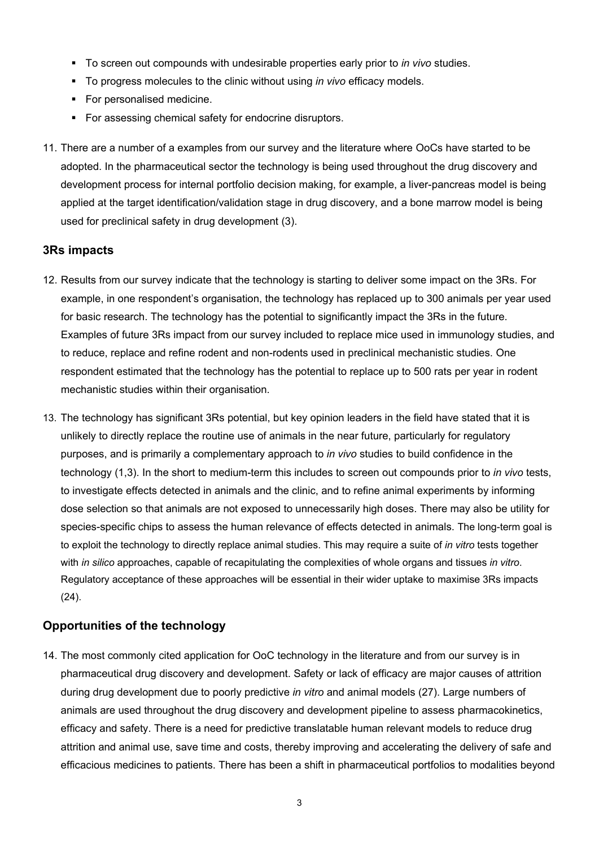- To screen out compounds with undesirable properties early prior to *in vivo* studies.
- To progress molecules to the clinic without using *in vivo* efficacy models.
- For personalised medicine.
- For assessing chemical safety for endocrine disruptors.
- 11. There are a number of a examples from our survey and the literature where OoCs have started to be adopted. In the pharmaceutical sector the technology is being used throughout the drug discovery and development process for internal portfolio decision making, for example, a liver-pancreas model is being applied at the target identification/validation stage in drug discovery, and a bone marrow model is being used for preclinical safety in drug development (3).

#### **3Rs impacts**

- 12. Results from our survey indicate that the technology is starting to deliver some impact on the 3Rs. For example, in one respondent's organisation, the technology has replaced up to 300 animals per year used for basic research. The technology has the potential to significantly impact the 3Rs in the future. Examples of future 3Rs impact from our survey included to replace mice used in immunology studies, and to reduce, replace and refine rodent and non-rodents used in preclinical mechanistic studies. One respondent estimated that the technology has the potential to replace up to 500 rats per year in rodent mechanistic studies within their organisation.
- 13. The technology has significant 3Rs potential, but key opinion leaders in the field have stated that it is unlikely to directly replace the routine use of animals in the near future, particularly for regulatory purposes, and is primarily a complementary approach to *in vivo* studies to build confidence in the technology (1,3). In the short to medium-term this includes to screen out compounds prior to *in vivo* tests, to investigate effects detected in animals and the clinic, and to refine animal experiments by informing dose selection so that animals are not exposed to unnecessarily high doses. There may also be utility for species-specific chips to assess the human relevance of effects detected in animals. The long-term goal is to exploit the technology to directly replace animal studies. This may require a suite of *in vitro* tests together with *in silico* approaches, capable of recapitulating the complexities of whole organs and tissues *in vitro*. Regulatory acceptance of these approaches will be essential in their wider uptake to maximise 3Rs impacts (24).

#### **Opportunities of the technology**

14. The most commonly cited application for OoC technology in the literature and from our survey is in pharmaceutical drug discovery and development. Safety or lack of efficacy are major causes of attrition during drug development due to poorly predictive *in vitro* and animal models (27). Large numbers of animals are used throughout the drug discovery and development pipeline to assess pharmacokinetics, efficacy and safety. There is a need for predictive translatable human relevant models to reduce drug attrition and animal use, save time and costs, thereby improving and accelerating the delivery of safe and efficacious medicines to patients. There has been a shift in pharmaceutical portfolios to modalities beyond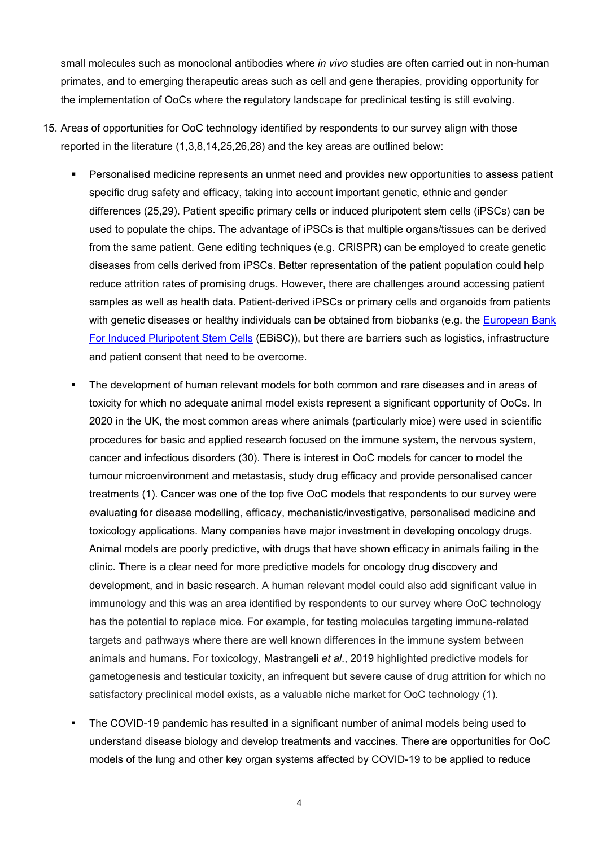small molecules such as monoclonal antibodies where *in vivo* studies are often carried out in non-human primates, and to emerging therapeutic areas such as cell and gene therapies, providing opportunity for the implementation of OoCs where the regulatory landscape for preclinical testing is still evolving.

- 15. Areas of opportunities for OoC technology identified by respondents to our survey align with those reported in the literature (1,3,8,14,25,26,28) and the key areas are outlined below:
	- Personalised medicine represents an unmet need and provides new opportunities to assess patient specific drug safety and efficacy, taking into account important genetic, ethnic and gender differences (25,29). Patient specific primary cells or induced pluripotent stem cells (iPSCs) can be used to populate the chips. The advantage of iPSCs is that multiple organs/tissues can be derived from the same patient. Gene editing techniques (e.g. CRISPR) can be employed to create genetic diseases from cells derived from iPSCs. Better representation of the patient population could help reduce attrition rates of promising drugs. However, there are challenges around accessing patient samples as well as health data. Patient-derived iPSCs or primary cells and organoids from patients with genetic diseases or healthy individuals can be obtained from biobanks (e.g. the European Bank [For Induced Pluripotent Stem Cells](https://ebisc.org/) (EBiSC)), but there are barriers such as logistics, infrastructure and patient consent that need to be overcome.
	- The development of human relevant models for both common and rare diseases and in areas of toxicity for which no adequate animal model exists represent a significant opportunity of OoCs. In 2020 in the UK, the most common areas where animals (particularly mice) were used in scientific procedures for basic and applied research focused on the immune system, the nervous system, cancer and infectious disorders (30). There is interest in OoC models for cancer to model the tumour microenvironment and metastasis, study drug efficacy and provide personalised cancer treatments (1). Cancer was one of the top five OoC models that respondents to our survey were evaluating for disease modelling, efficacy, mechanistic/investigative, personalised medicine and toxicology applications. Many companies have major investment in developing oncology drugs. Animal models are poorly predictive, with drugs that have shown efficacy in animals failing in the clinic. There is a clear need for more predictive models for oncology drug discovery and development, and in basic research. A human relevant model could also add significant value in immunology and this was an area identified by respondents to our survey where OoC technology has the potential to replace mice. For example, for testing molecules targeting immune-related targets and pathways where there are well known differences in the immune system between animals and humans. For toxicology, Mastrangeli *et al*., 2019 highlighted predictive models for gametogenesis and testicular toxicity, an infrequent but severe cause of drug attrition for which no satisfactory preclinical model exists, as a valuable niche market for OoC technology (1).
	- The COVID-19 pandemic has resulted in a significant number of animal models being used to understand disease biology and develop treatments and vaccines. There are opportunities for OoC models of the lung and other key organ systems affected by COVID-19 to be applied to reduce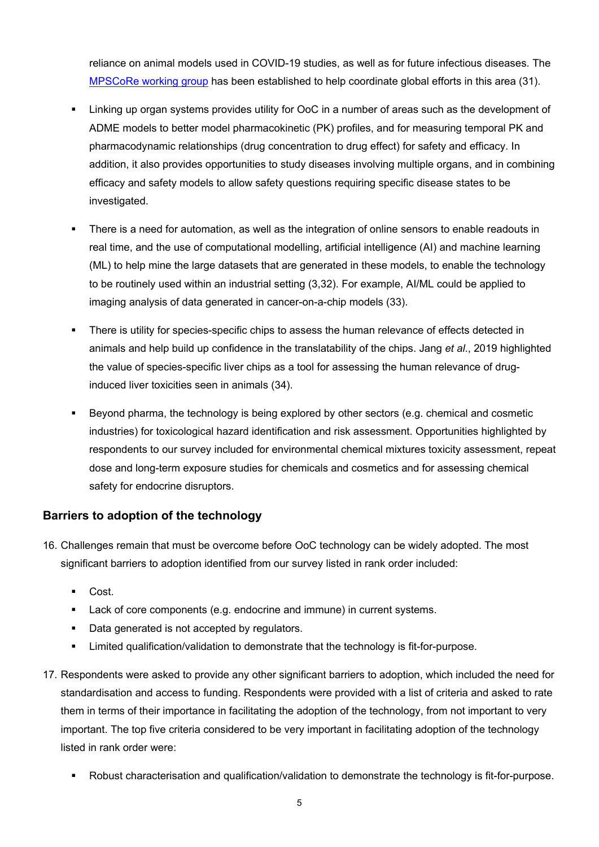reliance on animal models used in COVID-19 studies, as well as for future infectious diseases. The [MPSCoRe working group](https://www.nc3rs.org.uk/supporting-adoption-microphysiological-systems-covid-research) has been established to help coordinate global efforts in this area (31).

- Linking up organ systems provides utility for OoC in a number of areas such as the development of ADME models to better model pharmacokinetic (PK) profiles, and for measuring temporal PK and pharmacodynamic relationships (drug concentration to drug effect) for safety and efficacy. In addition, it also provides opportunities to study diseases involving multiple organs, and in combining efficacy and safety models to allow safety questions requiring specific disease states to be investigated.
- There is a need for automation, as well as the integration of online sensors to enable readouts in real time, and the use of computational modelling, artificial intelligence (AI) and machine learning (ML) to help mine the large datasets that are generated in these models, to enable the technology to be routinely used within an industrial setting (3,32). For example, AI/ML could be applied to imaging analysis of data generated in cancer-on-a-chip models (33).
- There is utility for species-specific chips to assess the human relevance of effects detected in animals and help build up confidence in the translatability of the chips. Jang *et al*., 2019 highlighted the value of species-specific liver chips as a tool for assessing the human relevance of druginduced liver toxicities seen in animals (34).
- Beyond pharma, the technology is being explored by other sectors (e.g. chemical and cosmetic industries) for toxicological hazard identification and risk assessment. Opportunities highlighted by respondents to our survey included for environmental chemical mixtures toxicity assessment, repeat dose and long-term exposure studies for chemicals and cosmetics and for assessing chemical safety for endocrine disruptors.

# **Barriers to adoption of the technology**

- 16. Challenges remain that must be overcome before OoC technology can be widely adopted. The most significant barriers to adoption identified from our survey listed in rank order included:
	- Cost.
	- **Lack of core components (e.g. endocrine and immune) in current systems.**
	- Data generated is not accepted by regulators.
	- Limited qualification/validation to demonstrate that the technology is fit-for-purpose.
- 17. Respondents were asked to provide any other significant barriers to adoption, which included the need for standardisation and access to funding. Respondents were provided with a list of criteria and asked to rate them in terms of their importance in facilitating the adoption of the technology, from not important to very important. The top five criteria considered to be very important in facilitating adoption of the technology listed in rank order were:
	- Robust characterisation and qualification/validation to demonstrate the technology is fit-for-purpose.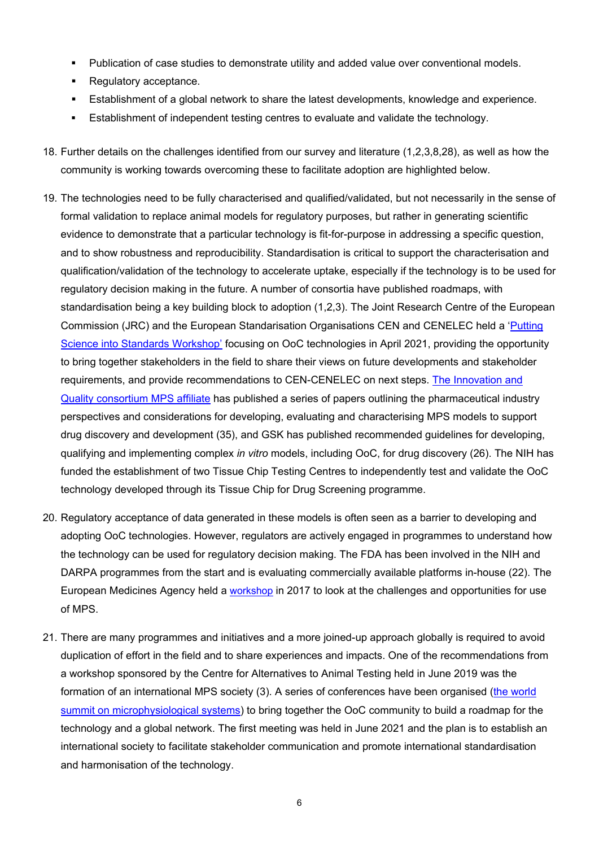- Publication of case studies to demonstrate utility and added value over conventional models.
- Regulatory acceptance.
- Establishment of a global network to share the latest developments, knowledge and experience.
- Establishment of independent testing centres to evaluate and validate the technology.
- 18. Further details on the challenges identified from our survey and literature (1,2,3,8,28), as well as how the community is working towards overcoming these to facilitate adoption are highlighted below.
- 19. The technologies need to be fully characterised and qualified/validated, but not necessarily in the sense of formal validation to replace animal models for regulatory purposes, but rather in generating scientific evidence to demonstrate that a particular technology is fit-for-purpose in addressing a specific question, and to show robustness and reproducibility. Standardisation is critical to support the characterisation and qualification/validation of the technology to accelerate uptake, especially if the technology is to be used for regulatory decision making in the future. A number of consortia have published roadmaps, with standardisation being a key building block to adoption (1,2,3). The Joint Research Centre of the European Commission (JRC) and the European Standarisation Organisations CEN and CENELEC held a ['Putting](https://www.cencenelec.eu/news/events/Pages/EV-2021-20.aspx)  [Science into Standards Workshop'](https://www.cencenelec.eu/news/events/Pages/EV-2021-20.aspx) focusing on OoC technologies in April 2021, providing the opportunity to bring together stakeholders in the field to share their views on future developments and stakeholder requirements, and provide recommendations to CEN-CENELEC on next steps. The [Innovation and](https://www.iqmps.org/)  [Quality consortium MPS affiliate](https://www.iqmps.org/) has published a series of papers outlining the pharmaceutical industry perspectives and considerations for developing, evaluating and characterising MPS models to support drug discovery and development (35), and GSK has published recommended guidelines for developing, qualifying and implementing complex *in vitro* models, including OoC, for drug discovery (26). The NIH has funded the establishment of two Tissue Chip Testing Centres to independently test and validate the OoC technology developed through its Tissue Chip for Drug Screening programme.
- 20. Regulatory acceptance of data generated in these models is often seen as a barrier to developing and adopting OoC technologies. However, regulators are actively engaged in programmes to understand how the technology can be used for regulatory decision making. The FDA has been involved in the NIH and DARPA programmes from the start and is evaluating commercially available platforms in-house (22). The European Medicines Agency held a [workshop](https://www.ema.europa.eu/en/events/first-ema-workshop-non-animal-approaches-support-medicinal-product-development-challenges) in 2017 to look at the challenges and opportunities for use of MPS.
- 21. There are many programmes and initiatives and a more joined-up approach globally is required to avoid duplication of effort in the field and to share experiences and impacts. One of the recommendations from a workshop sponsored by the Centre for Alternatives to Animal Testing held in June 2019 was the formation of an international MPS society (3). A series of conferences have been organised [\(the world](https://mpsworldsummit.com/)  [summit on microphysiological systems\)](https://mpsworldsummit.com/) to bring together the OoC community to build a roadmap for the technology and a global network. The first meeting was held in June 2021 and the plan is to establish an international society to facilitate stakeholder communication and promote international standardisation and harmonisation of the technology.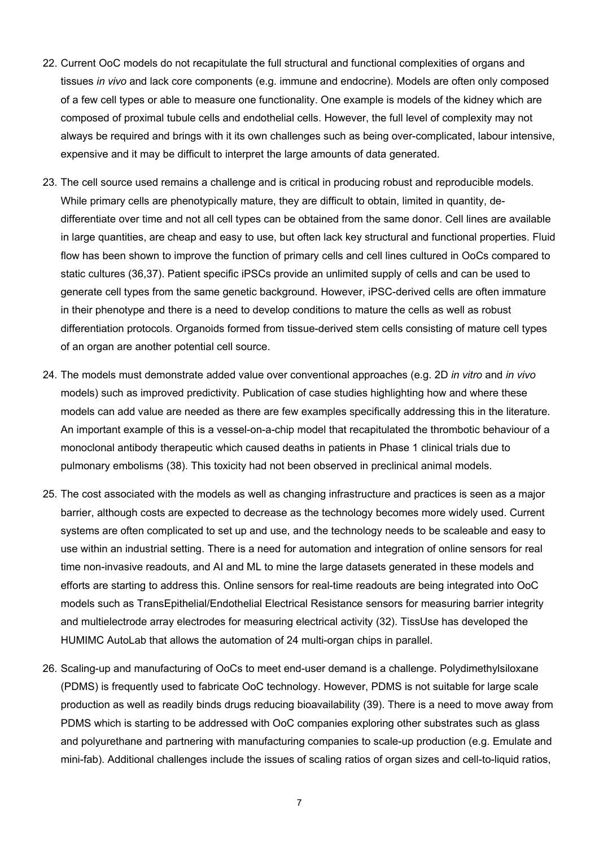- 22. Current OoC models do not recapitulate the full structural and functional complexities of organs and tissues *in vivo* and lack core components (e.g. immune and endocrine). Models are often only composed of a few cell types or able to measure one functionality. One example is models of the kidney which are composed of proximal tubule cells and endothelial cells. However, the full level of complexity may not always be required and brings with it its own challenges such as being over-complicated, labour intensive, expensive and it may be difficult to interpret the large amounts of data generated.
- 23. The cell source used remains a challenge and is critical in producing robust and reproducible models. While primary cells are phenotypically mature, they are difficult to obtain, limited in quantity, dedifferentiate over time and not all cell types can be obtained from the same donor. Cell lines are available in large quantities, are cheap and easy to use, but often lack key structural and functional properties. Fluid flow has been shown to improve the function of primary cells and cell lines cultured in OoCs compared to static cultures (36,37). Patient specific iPSCs provide an unlimited supply of cells and can be used to generate cell types from the same genetic background. However, iPSC-derived cells are often immature in their phenotype and there is a need to develop conditions to mature the cells as well as robust differentiation protocols. Organoids formed from tissue-derived stem cells consisting of mature cell types of an organ are another potential cell source.
- 24. The models must demonstrate added value over conventional approaches (e.g. 2D *in vitro* and *in vivo*  models) such as improved predictivity. Publication of case studies highlighting how and where these models can add value are needed as there are few examples specifically addressing this in the literature. An important example of this is a vessel-on-a-chip model that recapitulated the thrombotic behaviour of a monoclonal antibody therapeutic which caused deaths in patients in Phase 1 clinical trials due to pulmonary embolisms (38). This toxicity had not been observed in preclinical animal models.
- 25. The cost associated with the models as well as changing infrastructure and practices is seen as a major barrier, although costs are expected to decrease as the technology becomes more widely used. Current systems are often complicated to set up and use, and the technology needs to be scaleable and easy to use within an industrial setting. There is a need for automation and integration of online sensors for real time non-invasive readouts, and AI and ML to mine the large datasets generated in these models and efforts are starting to address this. Online sensors for real-time readouts are being integrated into OoC models such as TransEpithelial/Endothelial Electrical Resistance sensors for measuring barrier integrity and multielectrode array electrodes for measuring electrical activity (32). TissUse has developed the HUMIMC AutoLab that allows the automation of 24 multi-organ chips in parallel.
- 26. Scaling-up and manufacturing of OoCs to meet end-user demand is a challenge. Polydimethylsiloxane (PDMS) is frequently used to fabricate OoC technology. However, PDMS is not suitable for large scale production as well as readily binds drugs reducing bioavailability (39). There is a need to move away from PDMS which is starting to be addressed with OoC companies exploring other substrates such as glass and polyurethane and partnering with manufacturing companies to scale-up production (e.g. Emulate and mini-fab). Additional challenges include the issues of scaling ratios of organ sizes and cell-to-liquid ratios,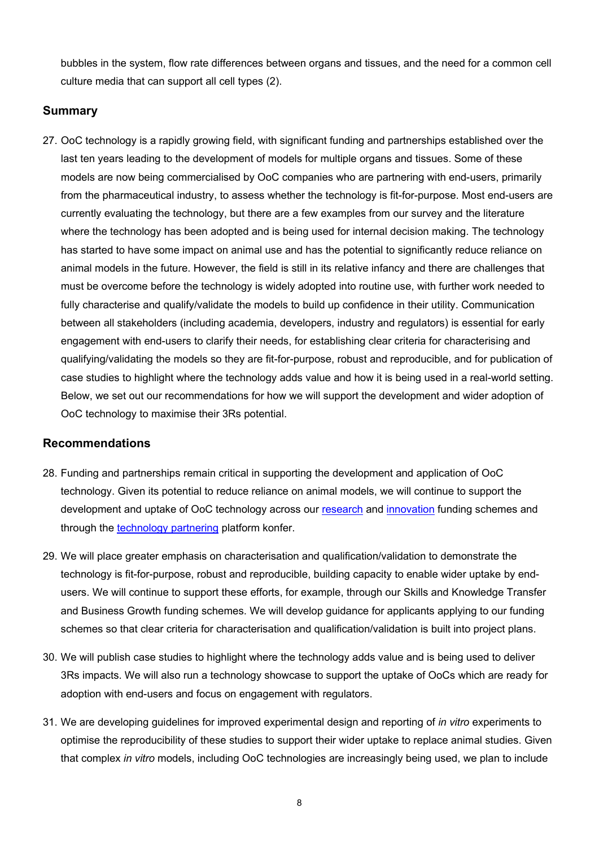bubbles in the system, flow rate differences between organs and tissues, and the need for a common cell culture media that can support all cell types (2).

#### **Summary**

27. OoC technology is a rapidly growing field, with significant funding and partnerships established over the last ten years leading to the development of models for multiple organs and tissues. Some of these models are now being commercialised by OoC companies who are partnering with end-users, primarily from the pharmaceutical industry, to assess whether the technology is fit-for-purpose. Most end-users are currently evaluating the technology, but there are a few examples from our survey and the literature where the technology has been adopted and is being used for internal decision making. The technology has started to have some impact on animal use and has the potential to significantly reduce reliance on animal models in the future. However, the field is still in its relative infancy and there are challenges that must be overcome before the technology is widely adopted into routine use, with further work needed to fully characterise and qualify/validate the models to build up confidence in their utility. Communication between all stakeholders (including academia, developers, industry and regulators) is essential for early engagement with end-users to clarify their needs, for establishing clear criteria for characterising and qualifying/validating the models so they are fit-for-purpose, robust and reproducible, and for publication of case studies to highlight where the technology adds value and how it is being used in a real-world setting. Below, we set out our recommendations for how we will support the development and wider adoption of OoC technology to maximise their 3Rs potential.

#### **Recommendations**

- 28. Funding and partnerships remain critical in supporting the development and application of OoC technology. Given its potential to reduce reliance on animal models, we will continue to support the development and uptake of OoC technology across our [research](https://www.nc3rs.org.uk/our-funding-schemes) and [innovation](https://www.nc3rs.org.uk/crackit/crack-it-challenges) funding schemes and through the [technology partnering](https://www.nc3rs.org.uk/crackit/technology-partnering) platform konfer.
- 29. We will place greater emphasis on characterisation and qualification/validation to demonstrate the technology is fit-for-purpose, robust and reproducible, building capacity to enable wider uptake by endusers. We will continue to support these efforts, for example, through our Skills and Knowledge Transfer and Business Growth funding schemes. We will develop guidance for applicants applying to our funding schemes so that clear criteria for characterisation and qualification/validation is built into project plans.
- 30. We will publish case studies to highlight where the technology adds value and is being used to deliver 3Rs impacts. We will also run a technology showcase to support the uptake of OoCs which are ready for adoption with end-users and focus on engagement with regulators.
- 31. We are developing guidelines for improved experimental design and reporting of *in vitro* experiments to optimise the reproducibility of these studies to support their wider uptake to replace animal studies. Given that complex *in vitro* models, including OoC technologies are increasingly being used, we plan to include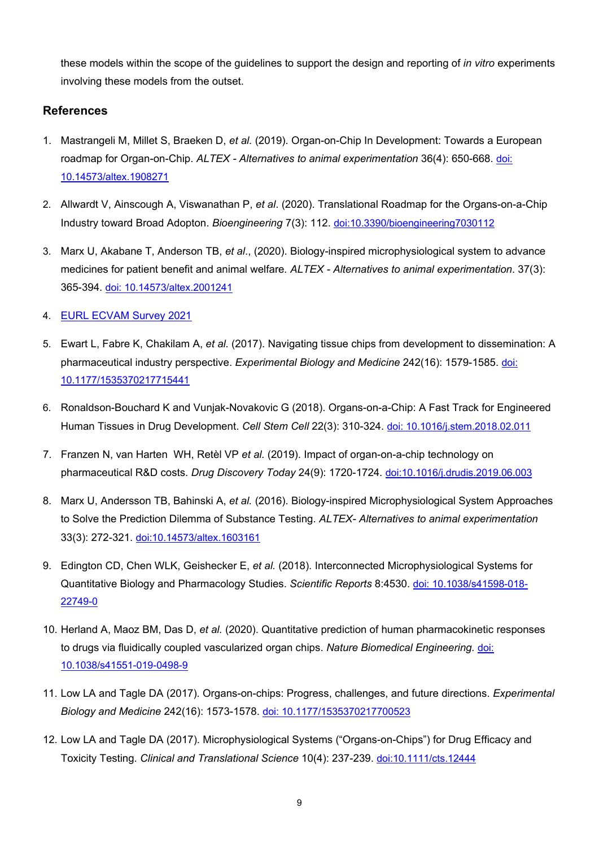these models within the scope of the guidelines to support the design and reporting of *in vitro* experiments involving these models from the outset.

#### **References**

- 1. Mastrangeli M, Millet S, Braeken D, *et al.* (2019). Organ-on-Chip In Development: Towards a European roadmap for Organ-on-Chip. *ALTEX - Alternatives to animal experimentation* 36(4): 650-668. [doi:](https://www.altex.org/index.php/altex/article/view/1339)  [10.14573/altex.1908271](https://www.altex.org/index.php/altex/article/view/1339)
- 2. Allwardt V, Ainscough A, Viswanathan P, *et al*. (2020). Translational Roadmap for the Organs-on-a-Chip Industry toward Broad Adopton. *Bioengineering* 7(3): 112. [doi:10.3390/bioengineering7030112](https://doi.org/10.3390/bioengineering7030112)
- 3. Marx U, Akabane T, Anderson TB, *et al*., (2020). Biology-inspired microphysiological system to advance medicines for patient benefit and animal welfare*. ALTEX - Alternatives to animal experimentation*. 37(3): 365-394. [doi: 10.14573/altex.2001241](https://www.altex.org/index.php/altex/article/view/1526)
- 4. [EURL ECVAM Survey 2021](https://publications.jrc.ec.europa.eu/repository/bitstream/JRC122394/civm_survey_report_pdf_online.pdf)
- 5. Ewart L, Fabre K, Chakilam A, *et al.* (2017). Navigating tissue chips from development to dissemination: A pharmaceutical industry perspective. *Experimental Biology and Medicine* 242(16): 1579-1585. [doi:](https://journals.sagepub.com/doi/10.1177/1535370217715441)  [10.1177/1535370217715441](https://journals.sagepub.com/doi/10.1177/1535370217715441)
- 6. Ronaldson-Bouchard K and Vunjak-Novakovic G (2018). Organs-on-a-Chip: A Fast Track for Engineered Human Tissues in Drug Development. *Cell Stem Cell* 22(3): 310-324. [doi: 10.1016/j.stem.2018.02.011](https://www.cell.com/cell-stem-cell/fulltext/S1934-5909(18)30073-0?_returnURL=https%3A%2F%2Flinkinghub.elsevier.com%2Fretrieve%2Fpii%2FS1934590918300730%3Fshowall%3Dtrue)
- 7. Franzen N, van Harten WH, Retèl VP *et al.* (2019). Impact of organ-on-a-chip technology on pharmaceutical R&D costs. *Drug Discovery Today* 24(9): 1720-1724. [doi:10.1016/j.drudis.2019.06.003](https://doi.org/10.1016/j.drudis.2019.06.003)
- 8. Marx U, Andersson TB, Bahinski A, *et al.* (2016). Biology-inspired Microphysiological System Approaches to Solve the Prediction Dilemma of Substance Testing. *ALTEX- Alternatives to animal experimentation*  33(3): 272-321. [doi:10.14573/altex.1603161](https://www.altex.org/index.php/altex/article/view/157)
- 9. Edington CD, Chen WLK, Geishecker E, *et al.* (2018). Interconnected Microphysiological Systems for Quantitative Biology and Pharmacology Studies. *Scientific Reports* 8:4530. doi: [10.1038/s41598-018-](https://www.nature.com/articles/s41598-018-22749-0) [22749-0](https://www.nature.com/articles/s41598-018-22749-0)
- 10. Herland A, Maoz BM, Das D, *et al.* (2020). Quantitative prediction of human pharmacokinetic responses to drugs via fluidically coupled vascularized organ chips. *Nature Biomedical Engineering.* [doi:](https://www.nature.com/articles/s41551-019-0498-9)  [10.1038/s41551-019-0498-9](https://www.nature.com/articles/s41551-019-0498-9)
- 11. Low LA and Tagle DA (2017). Organs-on-chips: Progress, challenges, and future directions. *Experimental Biology and Medicine* 242(16): 1573-1578. [doi: 10.1177/1535370217700523](https://journals.sagepub.com/doi/10.1177/1535370217700523)
- 12. Low LA and Tagle DA (2017). Microphysiological Systems ("Organs-on-Chips") for Drug Efficacy and Toxicity Testing. *Clinical and Translational Science* 10(4): 237-239. [doi:10.1111/cts.12444](https://ascpt.onlinelibrary.wiley.com/doi/full/10.1111/cts.12444)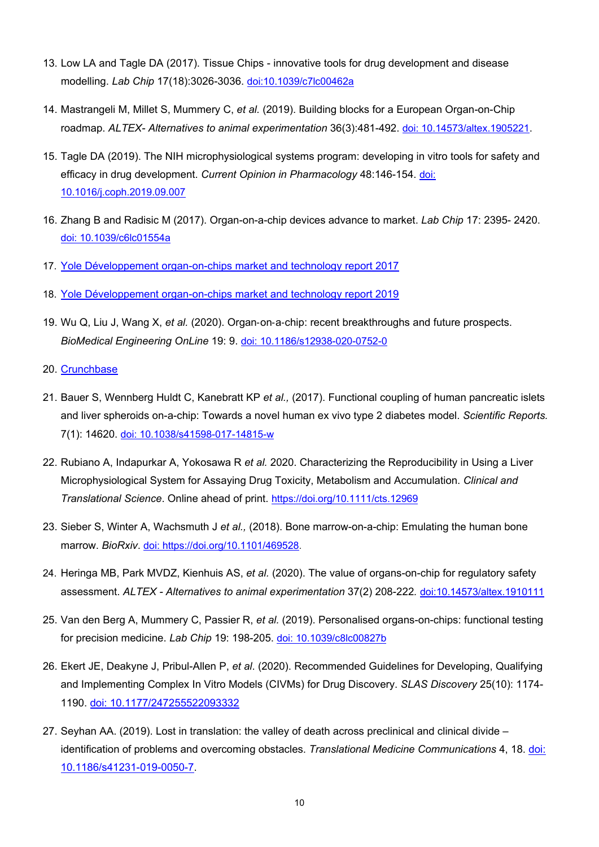- 13. Low LA and Tagle DA (2017). Tissue Chips innovative tools for drug development and disease modelling. *Lab Chip* 17(18):3026-3036. [doi:10.1039/c7lc00462a](https://pubs.rsc.org/en/content/articlelanding/2017/lc/c7lc00462a#!divAbstract)
- 14. Mastrangeli M, Millet S, Mummery C, *et al.* (2019). Building blocks for a European Organ-on-Chip roadmap. *ALTEX- Alternatives to animal experimentation* 36(3):481-492. [doi: 10.14573/altex.1905221.](https://www.altex.org/index.php/altex/article/view/1289)
- 15. Tagle DA (2019). The NIH microphysiological systems program: developing in vitro tools for safety and efficacy in drug development. *Current Opinion in Pharmacology* 48:146-154. [doi:](https://www.sciencedirect.com/science/article/pii/S147148921930058X?via%3Dihub)  [10.1016/j.coph.2019.09.007](https://www.sciencedirect.com/science/article/pii/S147148921930058X?via%3Dihub)
- 16. Zhang B and Radisic M (2017). Organ-on-a-chip devices advance to market. *Lab Chip* 17: 2395- 2420. [doi: 10.1039/c6lc01554a](https://pubs.rsc.org/en/content/articlelanding/2017/LC/C6LC01554A#!divAbstract)
- 17. [Yole Développement](http://www.yole.fr/OrgansOnChips_Market.aspx#.YRz_cHySlnI) organ-on-chips market and technology report 2017
- 18. [Yole Développement organ-on-chips market and technology report 2019](https://www.i-micronews.com/products/organs-on-chips-market-and-technology-landscape-2019/)
- 19. Wu Q, Liu J, Wang X, *et al.* (2020). Organ‑on‑a‑chip: recent breakthroughs and future prospects. *BioMedical Engineering OnLine* 19: 9. doi: [10.1186/s12938-020-0752-0](https://biomedical-engineering-online.biomedcentral.com/articles/10.1186/s12938-020-0752-0)
- 20. [Crunchbase](http://www.crunchbase.com/)
- 21. Bauer S, Wennberg Huldt C, Kanebratt KP *et al.,* (2017). Functional coupling of human pancreatic islets and liver spheroids on-a-chip: Towards a novel human ex vivo type 2 diabetes model. *Scientific Reports.* 7(1): 14620. doi: [10.1038/s41598-017-14815-w](https://dx.doi.org/10.1038%2Fs41598-017-14815-w)
- 22. Rubiano A, Indapurkar A, Yokosawa R *et al.* 2020. Characterizing the Reproducibility in Using a Liver Microphysiological System for Assaying Drug Toxicity, Metabolism and Accumulation. *Clinical and Translational Science*. Online ahead of print.<https://doi.org/10.1111/cts.12969>
- 23. Sieber S, Winter A, Wachsmuth J *et al.,* (2018). Bone marrow-on-a-chip: Emulating the human bone marrow. *BioRxiv*. doi: [https://doi.org/10.1101/469528.](doi:%C2%A0https://doi.org/10.1101/469528)
- 24. Heringa MB, Park MVDZ, Kienhuis AS, *et al.* (2020). The value of organs-on-chip for regulatory safety assessment. *ALTEX - Alternatives to animal experimentation* 37(2) 208-222*.* [doi:10.14573/altex.1910111](https://www.altex.org/index.php/altex/article/view/1441)
- 25. Van den Berg A, Mummery C, Passier R, *et al.* (2019). Personalised organs-on-chips: functional testing for precision medicine. *Lab Chip* 19: 198-205. [doi: 10.1039/c8lc00827b](https://pubs.rsc.org/en/content/articlelanding/2019/lc/c8lc00827b#!divAbstract)
- 26. Ekert JE, Deakyne J, Pribul-Allen P, *et al*. (2020). Recommended Guidelines for Developing, Qualifying and Implementing Complex In Vitro Models (CIVMs) for Drug Discovery. *SLAS Discovery* 25(10): 1174- 1190. [doi: 10.1177/247255522093332](https://journals.sagepub.com/doi/10.1177/2472555220923332?url_ver=Z39.88-2003&rfr_id=ori:rid:crossref.org&rfr_dat=cr_pub%20%200pubmed)
- 27. Seyhan AA. (2019). Lost in translation: the valley of death across preclinical and clinical divide identification of problems and overcoming obstacles. *Translational Medicine Communications* 4, 18. [doi:](https://doi.org/10.1186/s41231-019-0050-7)  [10.1186/s41231-019-0050-7.](https://doi.org/10.1186/s41231-019-0050-7)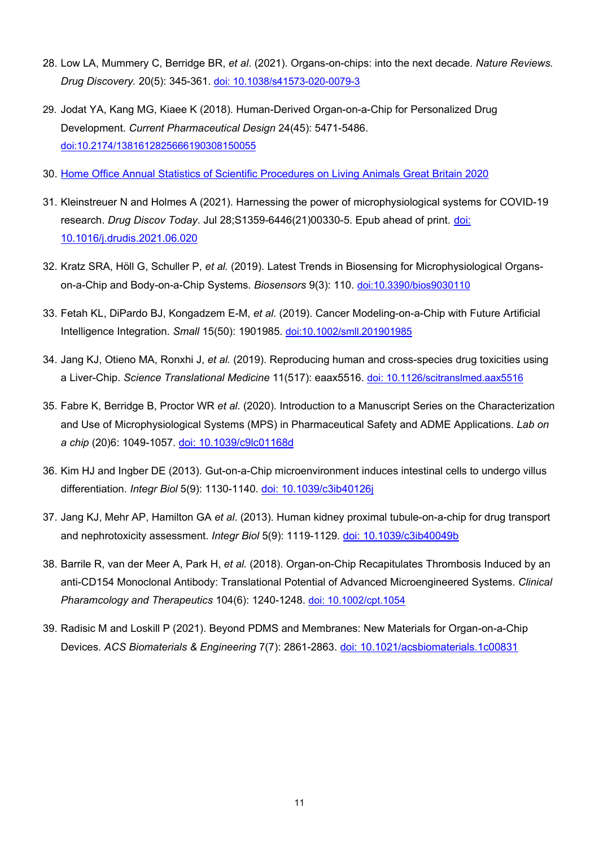- 28. Low LA, Mummery C, Berridge BR, *et al*. (2021). Organs-on-chips: into the next decade. *Nature Reviews. Drug Discovery.* 20(5): 345-361. doi: [10.1038/s41573-020-0079-3](https://www.nature.com/articles/s41573-020-0079-3)
- 29. Jodat YA, Kang MG, Kiaee K (2018). Human-Derived Organ-on-a-Chip for Personalized Drug Development. *Current Pharmaceutical Design* 24(45): 5471-5486. [doi:10.2174/1381612825666190308150055](http://www.eurekaselect.com/170582/article)
- 30. Home Office Annual Statistics [of Scientific Procedures on Living Animals Great Britain](https://assets.publishing.service.gov.uk/government/uploads/system/uploads/attachment_data/file/1002895/annual-statistics-scientific-procedures-living-animals-2020.pdf) 2020
- 31. Kleinstreuer N and Holmes A (2021). Harnessing the power of microphysiological systems for COVID-19 research. *Drug Discov Today*. Jul 28;S1359-6446(21)00330-5. Epub ahead of print. [doi:](https://www.sciencedirect.com/science/article/pii/S1359644621003305)  [10.1016/j.drudis.2021.06.020](https://www.sciencedirect.com/science/article/pii/S1359644621003305)
- 32. Kratz SRA, Höll G, Schuller P, *et al.* (2019). Latest Trends in Biosensing for Microphysiological Organson-a-Chip and Body-on-a-Chip Systems. *Biosensors* 9(3): 110. [doi:10.3390/bios9030110](https://www.mdpi.com/2079-6374/9/3/110)
- 33. Fetah KL, DiPardo BJ, Kongadzem E-M, *et al*. (2019). Cancer Modeling-on-a-Chip with Future Artificial Intelligence Integration. *Small* 15(50): 1901985. [doi:10.1002/smll.201901985](https://doi.org/10.1002/smll.201901985)
- 34. Jang KJ, Otieno MA, Ronxhi J, *et al.* (2019). Reproducing human and cross-species drug toxicities using a Liver-Chip. *Science Translational Medicine* 11(517): eaax5516. doi: [10.1126/scitranslmed.aax5516](https://stm.sciencemag.org/content/11/517/eaax5516)
- 35. Fabre K, Berridge B, Proctor WR *et al*. (2020). Introduction to a Manuscript Series on the Characterization and Use of Microphysiological Systems (MPS) in Pharmaceutical Safety and ADME Applications. *Lab on a chip* (20)6: 1049-1057. [doi: 10.1039/c9lc01168d](https://pubs.rsc.org/en/content/articlelanding/2020/LC/C9LC01168D)
- 36. Kim HJ and Ingber DE (2013). Gut-on-a-Chip microenvironment induces intestinal cells to undergo villus differentiation. *Integr Biol* 5(9): 1130-1140. [doi: 10.1039/c3ib40126j](https://academic.oup.com/ib/article-abstract/5/9/1130/5204272?redirectedFrom=fulltext)
- 37. Jang KJ, Mehr AP, Hamilton GA *et al*. (2013). Human kidney proximal tubule-on-a-chip for drug transport and nephrotoxicity assessment. *Integr Biol* 5(9): 1119-1129. [doi: 10.1039/c3ib40049b](https://academic.oup.com/ib/article-abstract/5/9/1119/5204261?redirectedFrom=fulltext)
- 38. Barrile R, van der Meer A, Park H, *et al.* (2018). Organ-on-Chip Recapitulates Thrombosis Induced by an anti-CD154 Monoclonal Antibody: Translational Potential of Advanced Microengineered Systems. *Clinical Pharamcology and Therapeutics* 104(6): 1240-1248. [doi: 10.1002/cpt.1054](https://pubmed.ncbi.nlm.nih.gov/29484632-organ-on-chip-recapitulates-thrombosis-induced-by-an-anti-cd154-monoclonal-antibody-translational-potential-of-advanced-microengineered-systems/)
- 39. Radisic M and Loskill P (2021). Beyond PDMS and Membranes: New Materials for Organ-on-a-Chip Devices. *ACS Biomaterials & Engineering* 7(7): 2861-2863. [doi: 10.1021/acsbiomaterials.1c00831](https://pubs.acs.org/doi/abs/10.1021/acsbiomaterials.1c00831)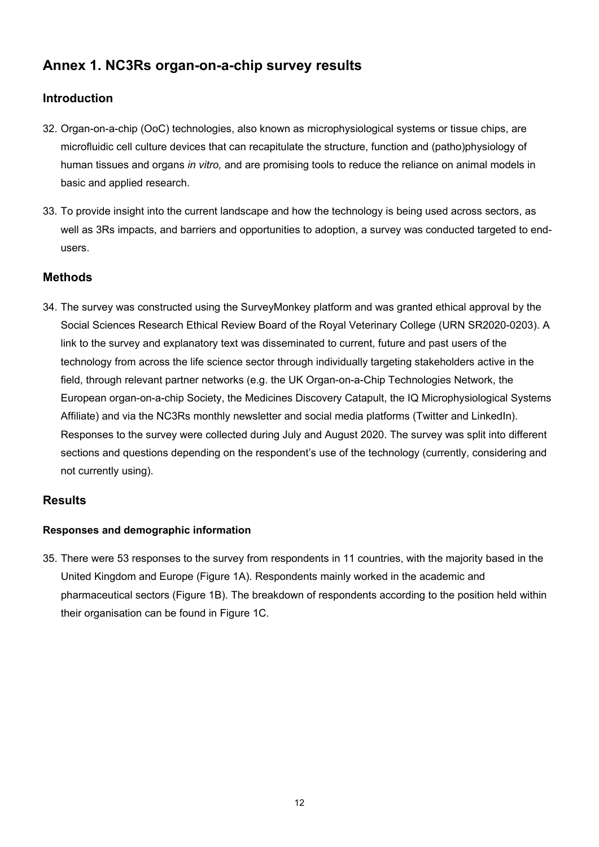# <span id="page-12-0"></span>**Annex 1. NC3Rs organ-on-a-chip survey results**

# **Introduction**

- 32. Organ-on-a-chip (OoC) technologies, also known as microphysiological systems or tissue chips, are microfluidic cell culture devices that can recapitulate the structure, function and (patho)physiology of human tissues and organs *in vitro,* and are promising tools to reduce the reliance on animal models in basic and applied research.
- 33. To provide insight into the current landscape and how the technology is being used across sectors, as well as 3Rs impacts, and barriers and opportunities to adoption, a survey was conducted targeted to endusers.

# **Methods**

34. The survey was constructed using the SurveyMonkey platform and was granted ethical approval by the Social Sciences Research Ethical Review Board of the Royal Veterinary College (URN SR2020-0203). A link to the survey and explanatory text was disseminated to current, future and past users of the technology from across the life science sector through individually targeting stakeholders active in the field, through relevant partner networks (e.g. the UK Organ-on-a-Chip Technologies Network, the European organ-on-a-chip Society, the Medicines Discovery Catapult, the IQ Microphysiological Systems Affiliate) and via the NC3Rs monthly newsletter and social media platforms (Twitter and LinkedIn). Responses to the survey were collected during July and August 2020. The survey was split into different sections and questions depending on the respondent's use of the technology (currently, considering and not currently using).

# **Results**

# **Responses and demographic information**

35. There were 53 responses to the survey from respondents in 11 countries, with the majority based in the United Kingdom and Europe (Figure 1A). Respondents mainly worked in the academic and pharmaceutical sectors (Figure 1B). The breakdown of respondents according to the position held within their organisation can be found in Figure 1C.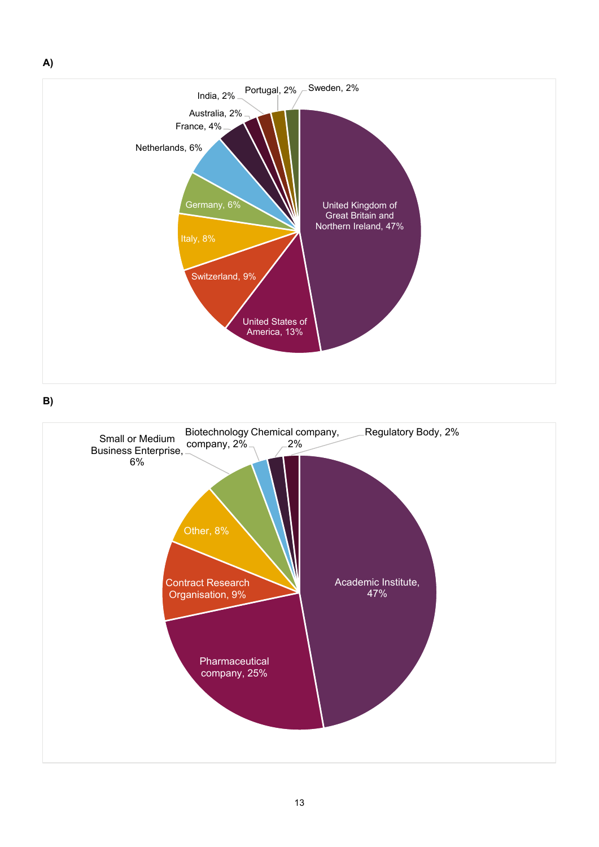

**B)**

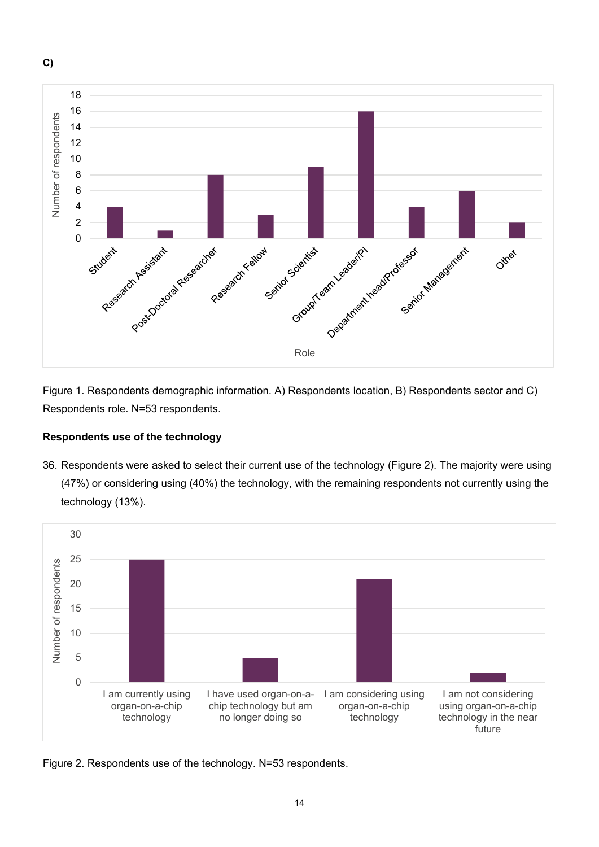

Figure 1. Respondents demographic information. A) Respondents location, B) Respondents sector and C) Respondents role. N=53 respondents.

# **Respondents use of the technology**

36. Respondents were asked to select their current use of the technology (Figure 2). The majority were using (47%) or considering using (40%) the technology, with the remaining respondents not currently using the technology (13%).



Figure 2. Respondents use of the technology. N=53 respondents.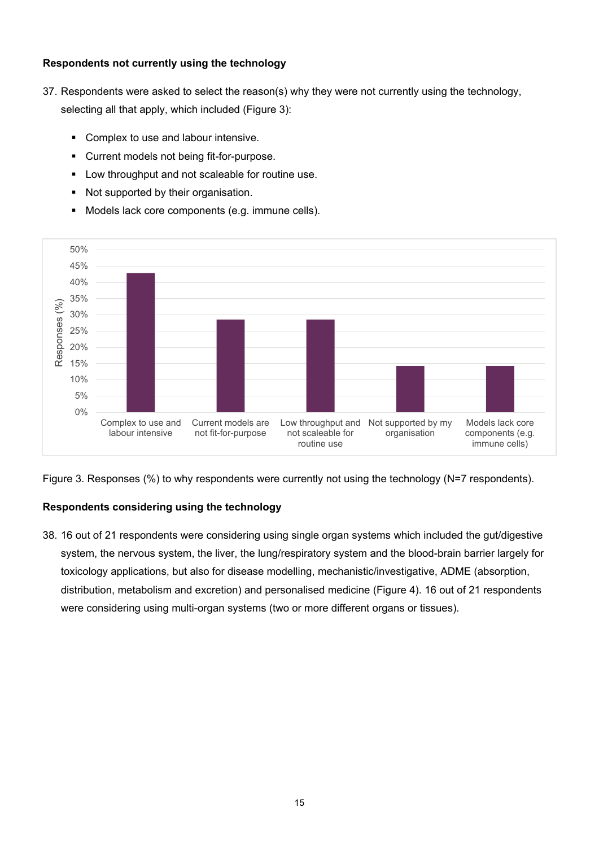#### **Respondents not currently using the technology**

- 37. Respondents were asked to select the reason(s) why they were not currently using the technology, selecting all that apply, which included (Figure 3):
	- **Complex to use and labour intensive.**
	- Current models not being fit-for-purpose.
	- **Low throughput and not scaleable for routine use.**
	- Not supported by their organisation.
	- **Models lack core components (e.g. immune cells).**



Figure 3. Responses (%) to why respondents were currently not using the technology (N=7 respondents).

# **Respondents considering using the technology**

38. 16 out of 21 respondents were considering using single organ systems which included the gut/digestive system, the nervous system, the liver, the lung/respiratory system and the blood-brain barrier largely for toxicology applications, but also for disease modelling, mechanistic/investigative, ADME (absorption, distribution, metabolism and excretion) and personalised medicine (Figure 4). 16 out of 21 respondents were considering using multi-organ systems (two or more different organs or tissues).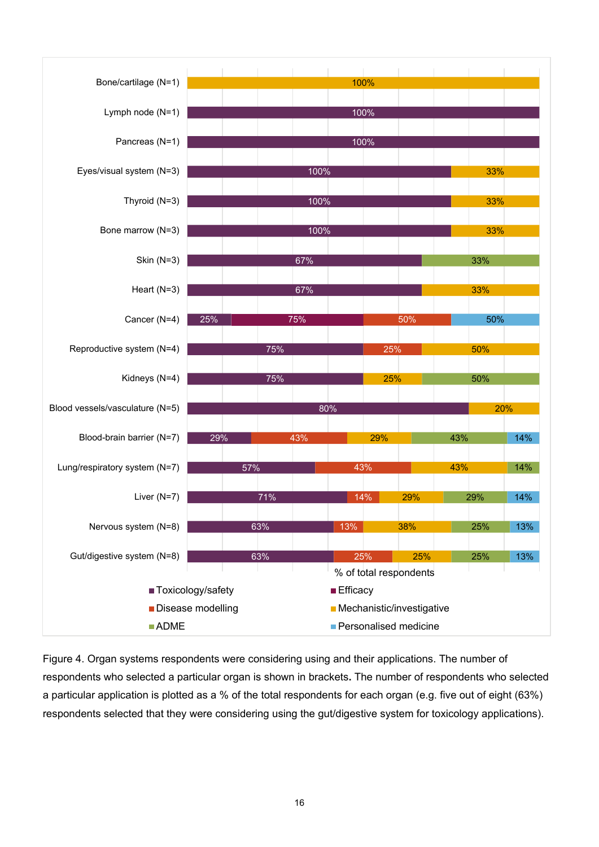

Figure 4. Organ systems respondents were considering using and their applications. The number of respondents who selected a particular organ is shown in brackets**.** The number of respondents who selected a particular application is plotted as a % of the total respondents for each organ (e.g. five out of eight (63%) respondents selected that they were considering using the gut/digestive system for toxicology applications).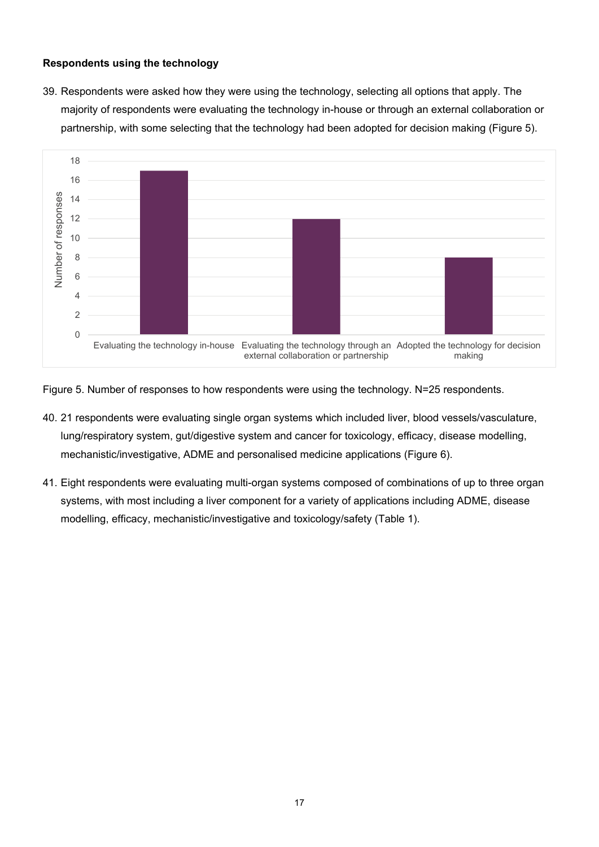#### **Respondents using the technology**

39. Respondents were asked how they were using the technology, selecting all options that apply. The majority of respondents were evaluating the technology in-house or through an external collaboration or partnership, with some selecting that the technology had been adopted for decision making (Figure 5).



Figure 5. Number of responses to how respondents were using the technology. N=25 respondents.

- 40. 21 respondents were evaluating single organ systems which included liver, blood vessels/vasculature, lung/respiratory system, gut/digestive system and cancer for toxicology, efficacy, disease modelling, mechanistic/investigative, ADME and personalised medicine applications (Figure 6).
- 41. Eight respondents were evaluating multi-organ systems composed of combinations of up to three organ systems, with most including a liver component for a variety of applications including ADME, disease modelling, efficacy, mechanistic/investigative and toxicology/safety (Table 1).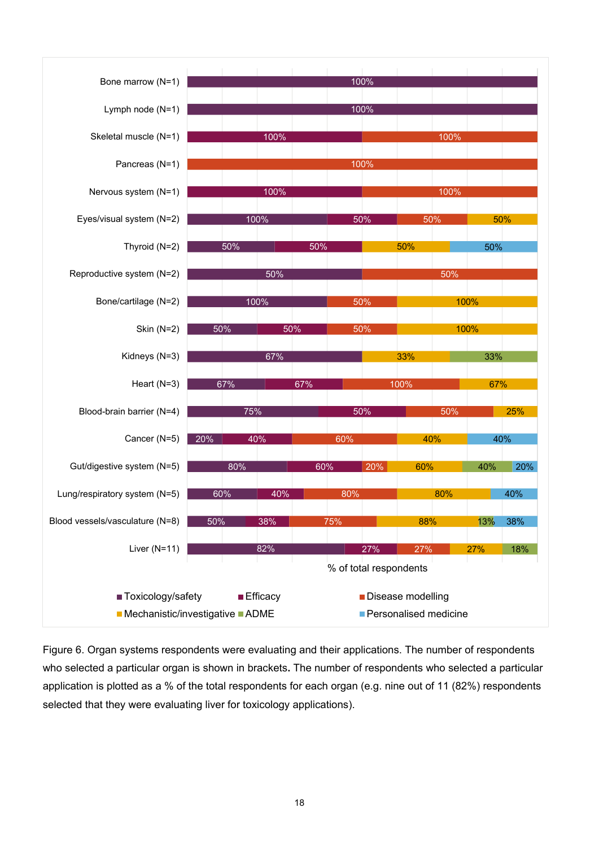

Figure 6. Organ systems respondents were evaluating and their applications. The number of respondents who selected a particular organ is shown in brackets**.** The number of respondents who selected a particular application is plotted as a % of the total respondents for each organ (e.g. nine out of 11 (82%) respondents selected that they were evaluating liver for toxicology applications).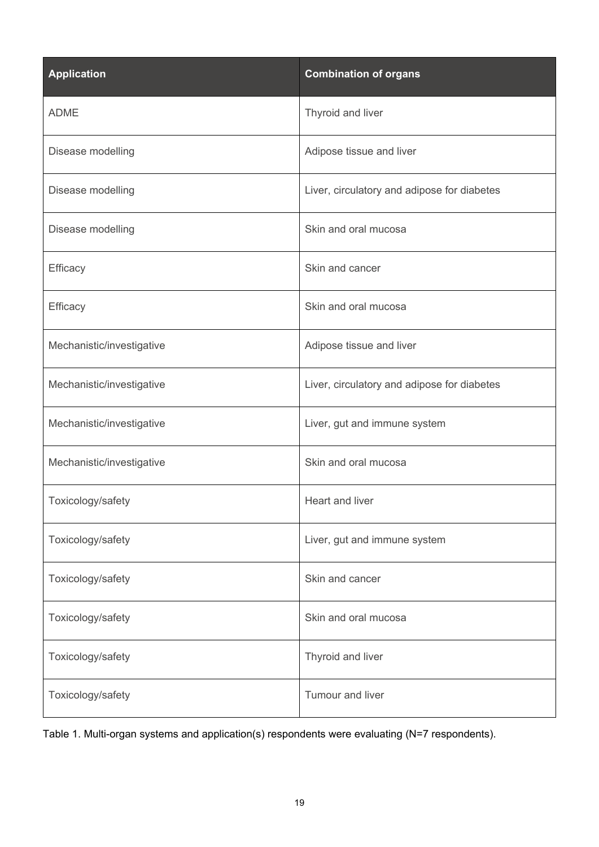| <b>Application</b>        | <b>Combination of organs</b>                |
|---------------------------|---------------------------------------------|
| <b>ADME</b>               | Thyroid and liver                           |
| Disease modelling         | Adipose tissue and liver                    |
| Disease modelling         | Liver, circulatory and adipose for diabetes |
| Disease modelling         | Skin and oral mucosa                        |
| Efficacy                  | Skin and cancer                             |
| Efficacy                  | Skin and oral mucosa                        |
| Mechanistic/investigative | Adipose tissue and liver                    |
| Mechanistic/investigative | Liver, circulatory and adipose for diabetes |
| Mechanistic/investigative | Liver, gut and immune system                |
| Mechanistic/investigative | Skin and oral mucosa                        |
| Toxicology/safety         | Heart and liver                             |
| Toxicology/safety         | Liver, gut and immune system                |
| Toxicology/safety         | Skin and cancer                             |
| Toxicology/safety         | Skin and oral mucosa                        |
| Toxicology/safety         | Thyroid and liver                           |
| Toxicology/safety         | Tumour and liver                            |

Table 1. Multi-organ systems and application(s) respondents were evaluating (N=7 respondents).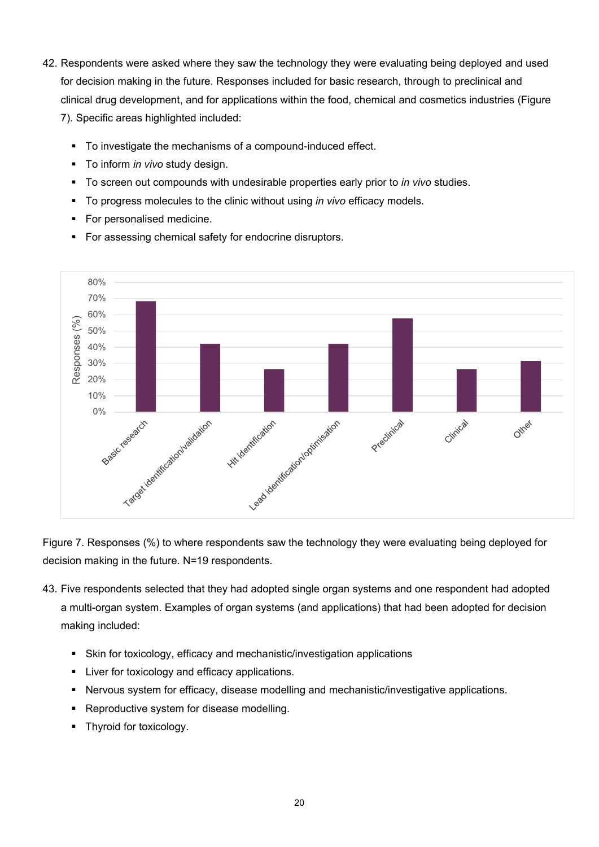- 42. Respondents were asked where they saw the technology they were evaluating being deployed and used for decision making in the future. Responses included for basic research, through to preclinical and clinical drug development, and for applications within the food, chemical and cosmetics industries (Figure 7). Specific areas highlighted included:
	- To investigate the mechanisms of a compound-induced effect.
	- To inform *in vivo* study design.
	- To screen out compounds with undesirable properties early prior to *in vivo* studies.
	- To progress molecules to the clinic without using *in vivo* efficacy models.
	- **For personalised medicine.**
	- For assessing chemical safety for endocrine disruptors.



Figure 7. Responses (%) to where respondents saw the technology they were evaluating being deployed for decision making in the future. N=19 respondents.

- 43. Five respondents selected that they had adopted single organ systems and one respondent had adopted a multi-organ system. Examples of organ systems (and applications) that had been adopted for decision making included:
	- Skin for toxicology, efficacy and mechanistic/investigation applications
	- **EXECUTE:** Liver for toxicology and efficacy applications.
	- Nervous system for efficacy, disease modelling and mechanistic/investigative applications.
	- **Reproductive system for disease modelling.**
	- Thyroid for toxicology.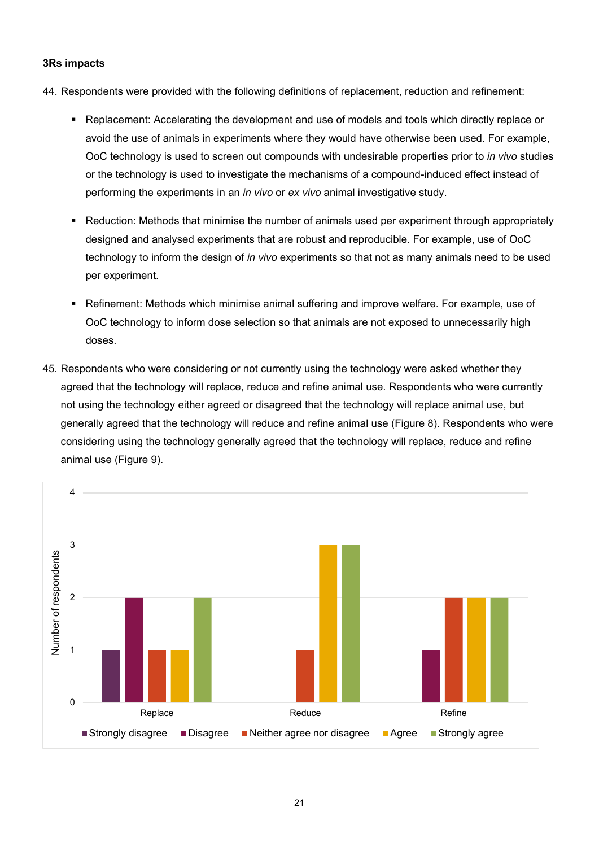#### **3Rs impacts**

- 44. Respondents were provided with the following definitions of replacement, reduction and refinement:
	- Replacement: Accelerating the development and use of models and tools which directly replace or avoid the use of animals in experiments where they would have otherwise been used. For example, OoC technology is used to screen out compounds with undesirable properties prior to *in vivo* studies or the technology is used to investigate the mechanisms of a compound-induced effect instead of performing the experiments in an *in vivo* or *ex vivo* animal investigative study.
	- Reduction: Methods that minimise the number of animals used per experiment through appropriately designed and analysed experiments that are robust and reproducible. For example, use of OoC technology to inform the design of *in vivo* experiments so that not as many animals need to be used per experiment.
	- **Refinement: Methods which minimise animal suffering and improve welfare. For example, use of** OoC technology to inform dose selection so that animals are not exposed to unnecessarily high doses.
- 45. Respondents who were considering or not currently using the technology were asked whether they agreed that the technology will replace, reduce and refine animal use. Respondents who were currently not using the technology either agreed or disagreed that the technology will replace animal use, but generally agreed that the technology will reduce and refine animal use (Figure 8). Respondents who were considering using the technology generally agreed that the technology will replace, reduce and refine animal use (Figure 9).

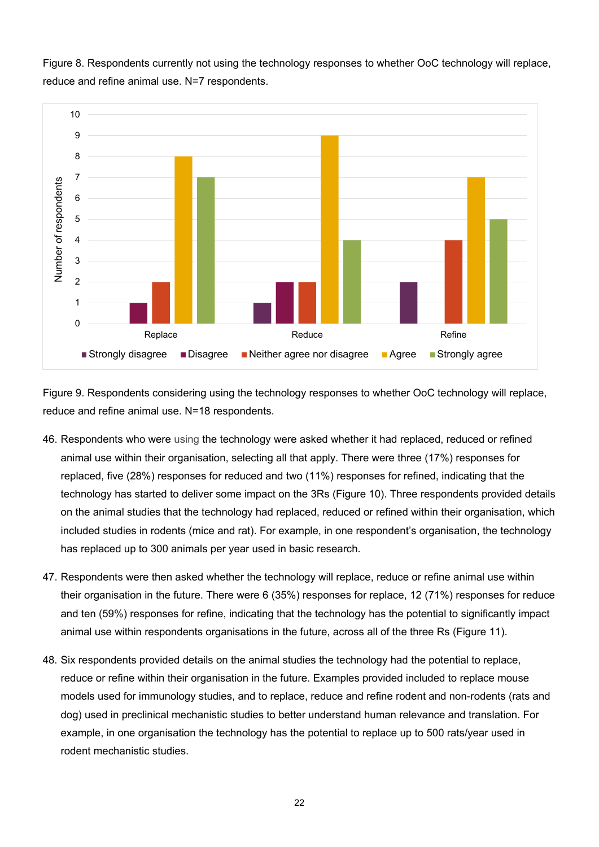Figure 8. Respondents currently not using the technology responses to whether OoC technology will replace, reduce and refine animal use. N=7 respondents.



Figure 9. Respondents considering using the technology responses to whether OoC technology will replace, reduce and refine animal use. N=18 respondents.

- 46. Respondents who were using the technology were asked whether it had replaced, reduced or refined animal use within their organisation, selecting all that apply. There were three (17%) responses for replaced, five (28%) responses for reduced and two (11%) responses for refined, indicating that the technology has started to deliver some impact on the 3Rs (Figure 10). Three respondents provided details on the animal studies that the technology had replaced, reduced or refined within their organisation, which included studies in rodents (mice and rat). For example, in one respondent's organisation, the technology has replaced up to 300 animals per year used in basic research.
- 47. Respondents were then asked whether the technology will replace, reduce or refine animal use within their organisation in the future. There were 6 (35%) responses for replace, 12 (71%) responses for reduce and ten (59%) responses for refine, indicating that the technology has the potential to significantly impact animal use within respondents organisations in the future, across all of the three Rs (Figure 11).
- 48. Six respondents provided details on the animal studies the technology had the potential to replace, reduce or refine within their organisation in the future. Examples provided included to replace mouse models used for immunology studies, and to replace, reduce and refine rodent and non-rodents (rats and dog) used in preclinical mechanistic studies to better understand human relevance and translation. For example, in one organisation the technology has the potential to replace up to 500 rats/year used in rodent mechanistic studies.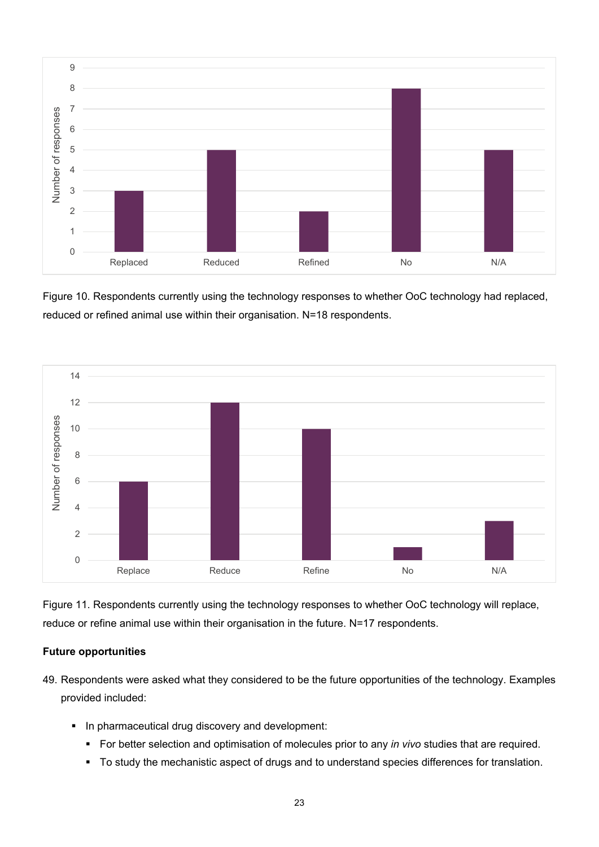

Figure 10. Respondents currently using the technology responses to whether OoC technology had replaced, reduced or refined animal use within their organisation. N=18 respondents.



Figure 11. Respondents currently using the technology responses to whether OoC technology will replace, reduce or refine animal use within their organisation in the future. N=17 respondents.

#### **Future opportunities**

- 49. Respondents were asked what they considered to be the future opportunities of the technology. Examples provided included:
	- **In pharmaceutical drug discovery and development:** 
		- For better selection and optimisation of molecules prior to any *in vivo* studies that are required.
		- $\blacksquare$  To study the mechanistic aspect of drugs and to understand species differences for translation.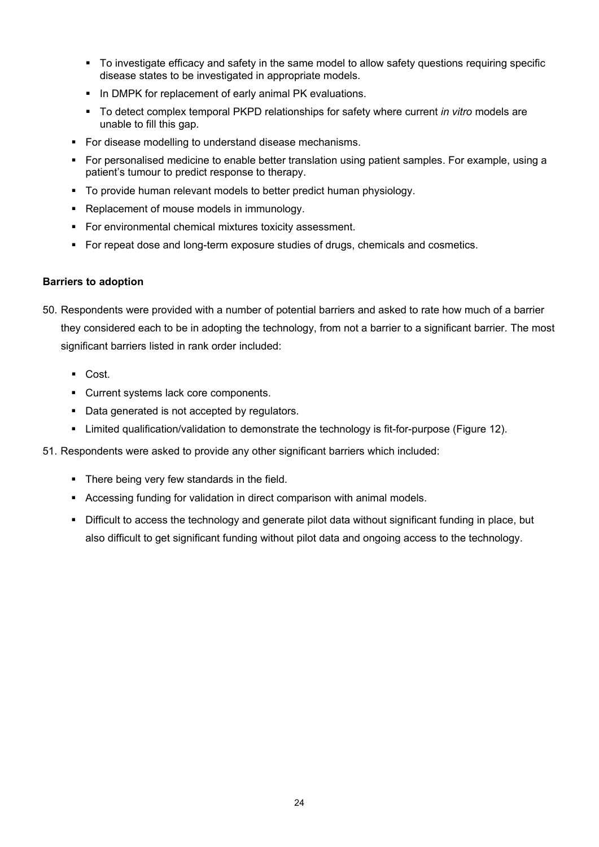- To investigate efficacy and safety in the same model to allow safety questions requiring specific disease states to be investigated in appropriate models.
- In DMPK for replacement of early animal PK evaluations.
- To detect complex temporal PKPD relationships for safety where current *in vitro* models are unable to fill this gap.
- For disease modelling to understand disease mechanisms.
- **For personalised medicine to enable better translation using patient samples. For example, using a** patient's tumour to predict response to therapy.
- To provide human relevant models to better predict human physiology.
- Replacement of mouse models in immunology.
- For environmental chemical mixtures toxicity assessment.
- For repeat dose and long-term exposure studies of drugs, chemicals and cosmetics.

#### **Barriers to adoption**

- 50. Respondents were provided with a number of potential barriers and asked to rate how much of a barrier they considered each to be in adopting the technology, from not a barrier to a significant barrier. The most significant barriers listed in rank order included:
	- Cost.
	- Current systems lack core components.
	- Data generated is not accepted by regulators.
	- Limited qualification/validation to demonstrate the technology is fit-for-purpose (Figure 12).
- 51. Respondents were asked to provide any other significant barriers which included:
	- **There being very few standards in the field.**
	- Accessing funding for validation in direct comparison with animal models.
	- Difficult to access the technology and generate pilot data without significant funding in place, but also difficult to get significant funding without pilot data and ongoing access to the technology.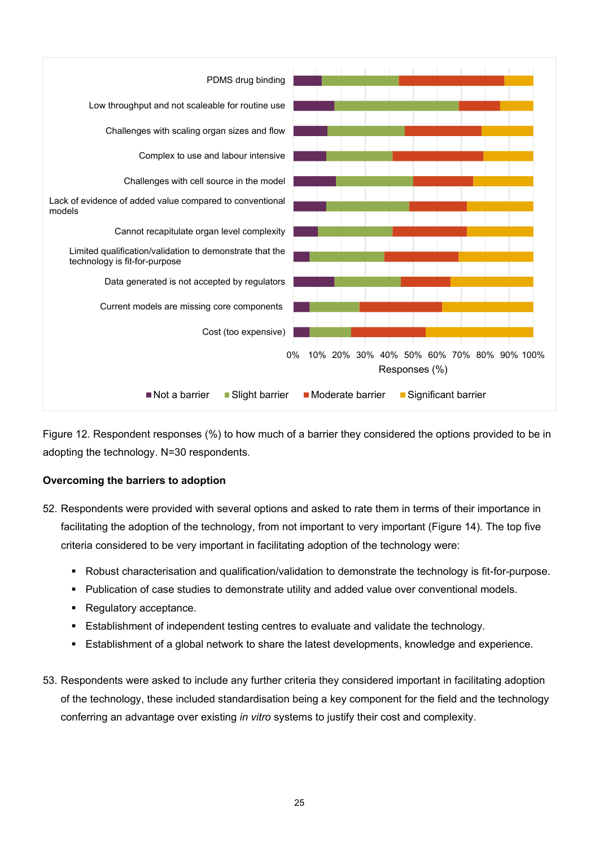

Figure 12. Respondent responses (%) to how much of a barrier they considered the options provided to be in adopting the technology. N=30 respondents.

#### **Overcoming the barriers to adoption**

- 52. Respondents were provided with several options and asked to rate them in terms of their importance in facilitating the adoption of the technology, from not important to very important (Figure 14). The top five criteria considered to be very important in facilitating adoption of the technology were:
	- Robust characterisation and qualification/validation to demonstrate the technology is fit-for-purpose.
	- **Publication of case studies to demonstrate utility and added value over conventional models.**
	- Regulatory acceptance.
	- Establishment of independent testing centres to evaluate and validate the technology.
	- Establishment of a global network to share the latest developments, knowledge and experience.
- 53. Respondents were asked to include any further criteria they considered important in facilitating adoption of the technology, these included standardisation being a key component for the field and the technology conferring an advantage over existing *in vitro* systems to justify their cost and complexity.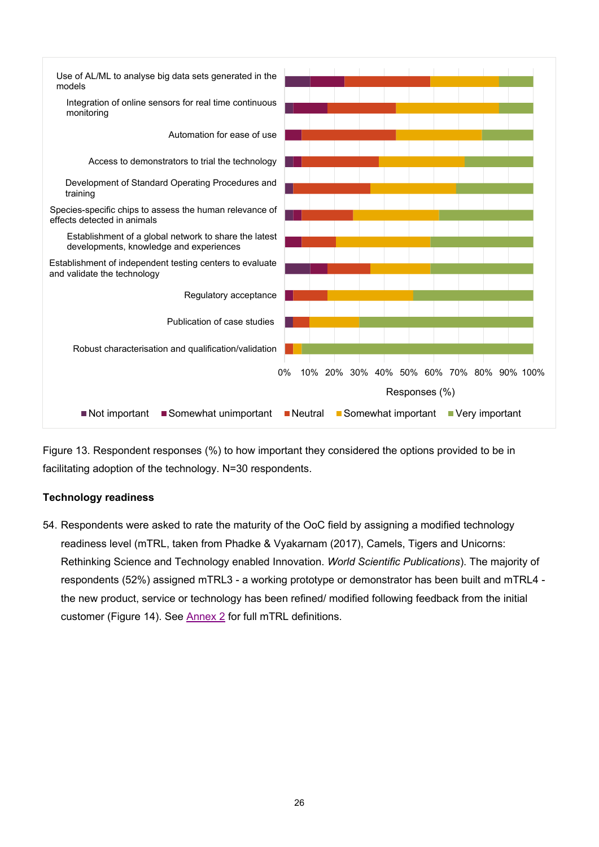

Figure 13. Respondent responses (%) to how important they considered the options provided to be in facilitating adoption of the technology. N=30 respondents.

#### **Technology readiness**

54. Respondents were asked to rate the maturity of the OoC field by assigning a modified technology readiness level (mTRL, taken from Phadke & Vyakarnam (2017), Camels, Tigers and Unicorns: Rethinking Science and Technology enabled Innovation. *World Scientific Publications*). The majority of respondents (52%) assigned mTRL3 - a working prototype or demonstrator has been built and mTRL4 the new product, service or technology has been refined/ modified following feedback from the initial customer (Figure 14). See [Annex 2](#page-28-0) for full mTRL definitions.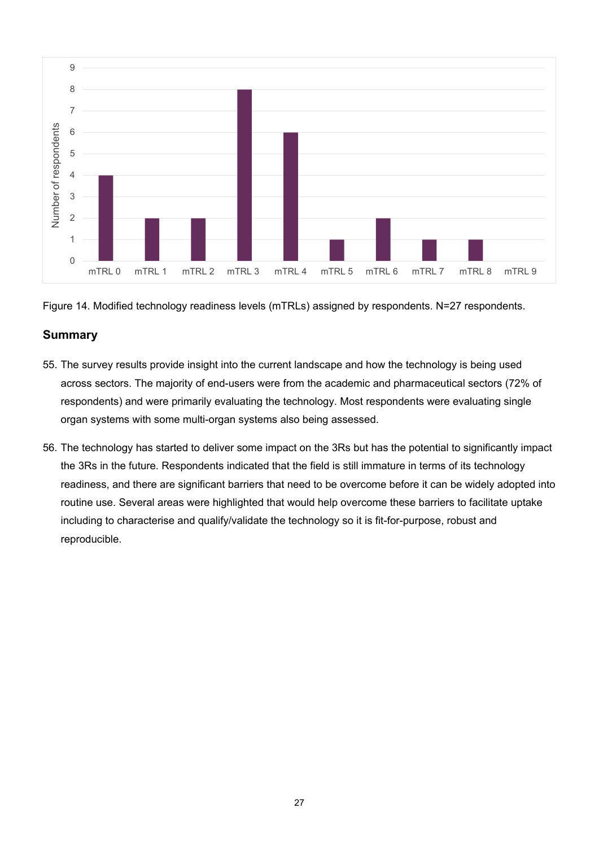

Figure 14. Modified technology readiness levels (mTRLs) assigned by respondents. N=27 respondents.

# **Summary**

- 55. The survey results provide insight into the current landscape and how the technology is being used across sectors. The majority of end-users were from the academic and pharmaceutical sectors (72% of respondents) and were primarily evaluating the technology. Most respondents were evaluating single organ systems with some multi-organ systems also being assessed.
- 56. The technology has started to deliver some impact on the 3Rs but has the potential to significantly impact the 3Rs in the future. Respondents indicated that the field is still immature in terms of its technology readiness, and there are significant barriers that need to be overcome before it can be widely adopted into routine use. Several areas were highlighted that would help overcome these barriers to facilitate uptake including to characterise and qualify/validate the technology so it is fit-for-purpose, robust and reproducible.